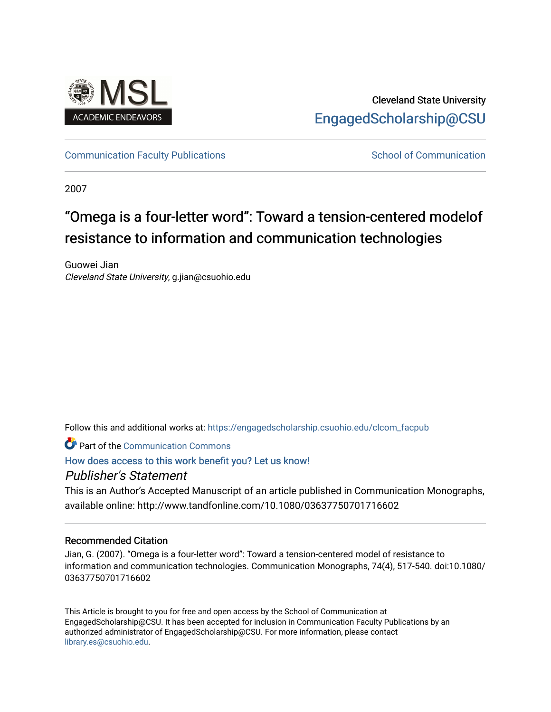

## Cleveland State University [EngagedScholarship@CSU](https://engagedscholarship.csuohio.edu/)

[Communication Faculty Publications](https://engagedscholarship.csuohio.edu/clcom_facpub) [School of Communication](https://engagedscholarship.csuohio.edu/clcom) School of Communication

2007

# "Omega is a four-letter word": Toward a tension-centered modelof resistance to information and communication technologies

Guowei Jian Cleveland State University, g.jian@csuohio.edu

Follow this and additional works at: [https://engagedscholarship.csuohio.edu/clcom\\_facpub](https://engagedscholarship.csuohio.edu/clcom_facpub?utm_source=engagedscholarship.csuohio.edu%2Fclcom_facpub%2F8&utm_medium=PDF&utm_campaign=PDFCoverPages) 

Part of the [Communication Commons](http://network.bepress.com/hgg/discipline/325?utm_source=engagedscholarship.csuohio.edu%2Fclcom_facpub%2F8&utm_medium=PDF&utm_campaign=PDFCoverPages) 

[How does access to this work benefit you? Let us know!](http://library.csuohio.edu/engaged/)

### Publisher's Statement

This is an Author's Accepted Manuscript of an article published in Communication Monographs, available online: http://www.tandfonline.com/10.1080/03637750701716602

### Recommended Citation

Jian, G. (2007). "Omega is a four-letter word": Toward a tension-centered model of resistance to information and communication technologies. Communication Monographs, 74(4), 517-540. doi:10.1080/ 03637750701716602

This Article is brought to you for free and open access by the School of Communication at EngagedScholarship@CSU. It has been accepted for inclusion in Communication Faculty Publications by an authorized administrator of EngagedScholarship@CSU. For more information, please contact [library.es@csuohio.edu.](mailto:library.es@csuohio.edu)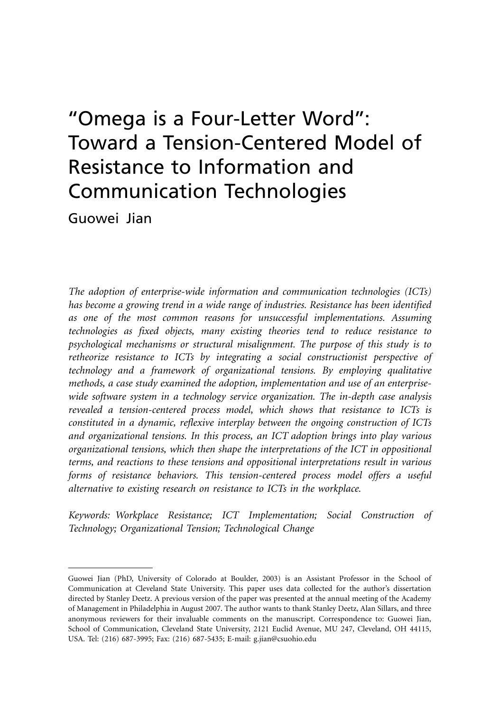# ''Omega is a Four-Letter Word'': Toward a Tension-Centered Model of Resistance to Information and Communication Technologies

Guowei Jian

The adoption of enterprise-wide information and communication technologies (ICTs) has become a growing trend in a wide range of industries. Resistance has been identified as one of the most common reasons for unsuccessful implementations. Assuming technologies as fixed objects, many existing theories tend to reduce resistance to psychological mechanisms or structural misalignment. The purpose of this study is to retheorize resistance to ICTs by integrating a social constructionist perspective of technology and a framework of organizational tensions. By employing qualitative methods, a case study examined the adoption, implementation and use of an enterprisewide software system in a technology service organization. The in-depth case analysis revealed a tension-centered process model, which shows that resistance to ICTs is constituted in a dynamic, reflexive interplay between the ongoing construction of ICTs and organizational tensions. In this process, an ICT adoption brings into play various organizational tensions, which then shape the interpretations of the ICT in oppositional terms, and reactions to these tensions and oppositional interpretations result in various forms of resistance behaviors. This tension-centered process model offers a useful alternative to existing research on resistance to ICTs in the workplace.

Keywords: Workplace Resistance; ICT Implementation; Social Construction of Technology; Organizational Tension; Technological Change

Guowei Jian (PhD, University of Colorado at Boulder, 2003) is an Assistant Professor in the School of Communication at Cleveland State University. This paper uses data collected for the author's dissertation directed by Stanley Deetz. A previous version of the paper was presented at the annual meeting of the Academy of Management in Philadelphia in August 2007. The author wants to thank Stanley Deetz, Alan Sillars, and three anonymous reviewers for their invaluable comments on the manuscript. Correspondence to: Guowei Jian, School of Communication, Cleveland State University, 2121 Euclid Avenue, MU 247, Cleveland, OH 44115, USA. Tel: (216) 687-3995; Fax: (216) 687-5435; E-mail: g.jian@csuohio.edu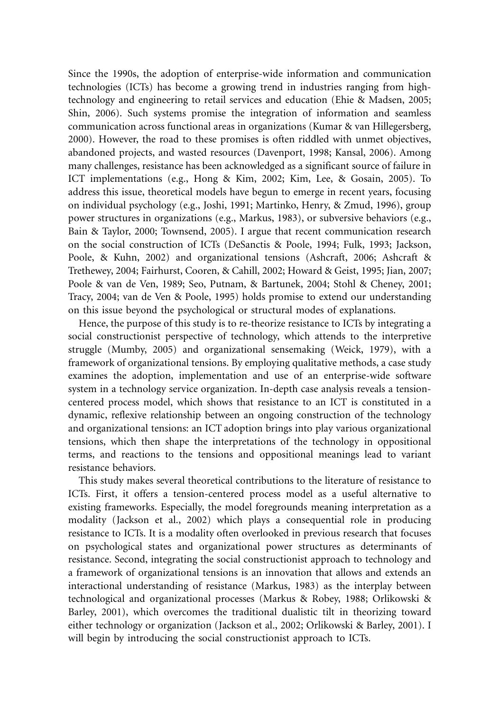Since the 1990s, the adoption of enterprise-wide information and communication technologies (ICTs) has become a growing trend in industries ranging from hightechnology and engineering to retail services and education (Ehie & Madsen, 2005; Shin, 2006). Such systems promise the integration of information and seamless communication across functional areas in organizations (Kumar & van Hillegersberg, 2000). However, the road to these promises is often riddled with unmet objectives, abandoned projects, and wasted resources (Davenport, 1998; Kansal, 2006). Among many challenges, resistance has been acknowledged as a significant source of failure in ICT implementations (e.g., Hong & Kim, 2002; Kim, Lee, & Gosain, 2005). To address this issue, theoretical models have begun to emerge in recent years, focusing on individual psychology (e.g., Joshi, 1991; Martinko, Henry, & Zmud, 1996), group power structures in organizations (e.g., Markus, 1983), or subversive behaviors (e.g., Bain & Taylor, 2000; Townsend, 2005). I argue that recent communication research on the social construction of ICTs (DeSanctis & Poole, 1994; Fulk, 1993; Jackson, Poole, & Kuhn, 2002) and organizational tensions (Ashcraft, 2006; Ashcraft & Trethewey, 2004; Fairhurst, Cooren, & Cahill, 2002; Howard & Geist, 1995; Jian, 2007; Poole & van de Ven, 1989; Seo, Putnam, & Bartunek, 2004; Stohl & Cheney, 2001; Tracy, 2004; van de Ven & Poole, 1995) holds promise to extend our understanding on this issue beyond the psychological or structural modes of explanations.

Hence, the purpose of this study is to re-theorize resistance to ICTs by integrating a social constructionist perspective of technology, which attends to the interpretive struggle (Mumby, 2005) and organizational sensemaking (Weick, 1979), with a framework of organizational tensions. By employing qualitative methods, a case study examines the adoption, implementation and use of an enterprise-wide software system in a technology service organization. In-depth case analysis reveals a tensioncentered process model, which shows that resistance to an ICT is constituted in a dynamic, reflexive relationship between an ongoing construction of the technology and organizational tensions: an ICT adoption brings into play various organizational tensions, which then shape the interpretations of the technology in oppositional terms, and reactions to the tensions and oppositional meanings lead to variant resistance behaviors.

This study makes several theoretical contributions to the literature of resistance to ICTs. First, it offers a tension-centered process model as a useful alternative to existing frameworks. Especially, the model foregrounds meaning interpretation as a modality (Jackson et al., 2002) which plays a consequential role in producing resistance to ICTs. It is a modality often overlooked in previous research that focuses on psychological states and organizational power structures as determinants of resistance. Second, integrating the social constructionist approach to technology and a framework of organizational tensions is an innovation that allows and extends an interactional understanding of resistance (Markus, 1983) as the interplay between technological and organizational processes (Markus & Robey, 1988; Orlikowski & Barley, 2001), which overcomes the traditional dualistic tilt in theorizing toward either technology or organization (Jackson et al., 2002; Orlikowski & Barley, 2001). I will begin by introducing the social constructionist approach to ICTs.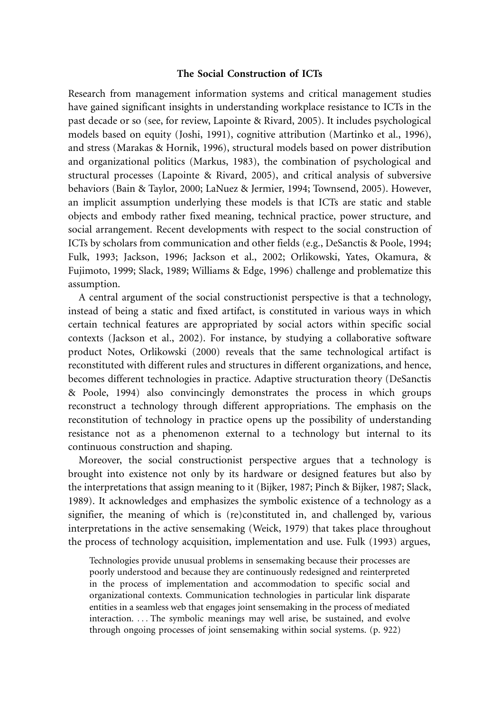#### The Social Construction of ICTs

Research from management information systems and critical management studies have gained significant insights in understanding workplace resistance to ICTs in the past decade or so (see, for review, Lapointe & Rivard, 2005). It includes psychological models based on equity (Joshi, 1991), cognitive attribution (Martinko et al., 1996), and stress (Marakas & Hornik, 1996), structural models based on power distribution and organizational politics (Markus, 1983), the combination of psychological and structural processes (Lapointe & Rivard, 2005), and critical analysis of subversive behaviors (Bain & Taylor, 2000; LaNuez & Jermier, 1994; Townsend, 2005). However, an implicit assumption underlying these models is that ICTs are static and stable objects and embody rather fixed meaning, technical practice, power structure, and social arrangement. Recent developments with respect to the social construction of ICTs by scholars from communication and other fields (e.g., DeSanctis & Poole, 1994; Fulk, 1993; Jackson, 1996; Jackson et al., 2002; Orlikowski, Yates, Okamura, & Fujimoto, 1999; Slack, 1989; Williams & Edge, 1996) challenge and problematize this assumption.

A central argument of the social constructionist perspective is that a technology, instead of being a static and fixed artifact, is constituted in various ways in which certain technical features are appropriated by social actors within specific social contexts (Jackson et al., 2002). For instance, by studying a collaborative software product Notes, Orlikowski (2000) reveals that the same technological artifact is reconstituted with different rules and structures in different organizations, and hence, becomes different technologies in practice. Adaptive structuration theory (DeSanctis & Poole, 1994) also convincingly demonstrates the process in which groups reconstruct a technology through different appropriations. The emphasis on the reconstitution of technology in practice opens up the possibility of understanding resistance not as a phenomenon external to a technology but internal to its continuous construction and shaping.

Moreover, the social constructionist perspective argues that a technology is brought into existence not only by its hardware or designed features but also by the interpretations that assign meaning to it (Bijker, 1987; Pinch & Bijker, 1987; Slack, 1989). It acknowledges and emphasizes the symbolic existence of a technology as a signifier, the meaning of which is (re)constituted in, and challenged by, various interpretations in the active sensemaking (Weick, 1979) that takes place throughout the process of technology acquisition, implementation and use. Fulk (1993) argues,

Technologies provide unusual problems in sensemaking because their processes are poorly understood and because they are continuously redesigned and reinterpreted in the process of implementation and accommodation to specific social and organizational contexts. Communication technologies in particular link disparate entities in a seamless web that engages joint sensemaking in the process of mediated interaction. ... The symbolic meanings may well arise, be sustained, and evolve through ongoing processes of joint sensemaking within social systems. (p. 922)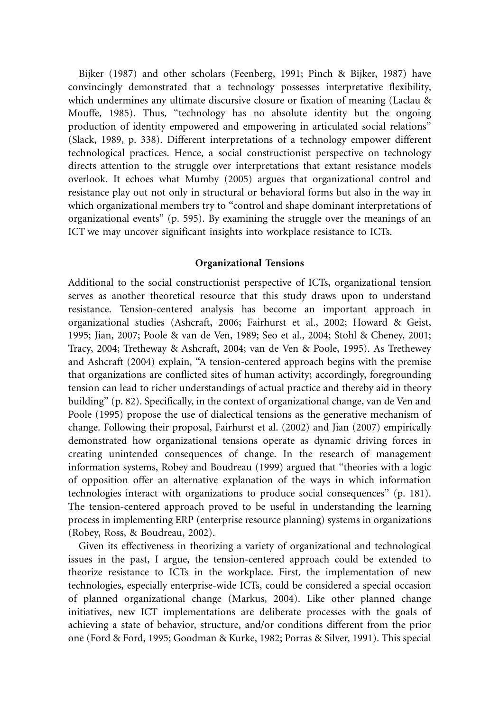Bijker (1987) and other scholars (Feenberg, 1991; Pinch & Bijker, 1987) have convincingly demonstrated that a technology possesses interpretative flexibility, which undermines any ultimate discursive closure or fixation of meaning (Laclau & Mouffe, 1985). Thus, ''technology has no absolute identity but the ongoing production of identity empowered and empowering in articulated social relations'' (Slack, 1989, p. 338). Different interpretations of a technology empower different technological practices. Hence, a social constructionist perspective on technology directs attention to the struggle over interpretations that extant resistance models overlook. It echoes what Mumby (2005) argues that organizational control and resistance play out not only in structural or behavioral forms but also in the way in which organizational members try to ''control and shape dominant interpretations of organizational events'' (p. 595). By examining the struggle over the meanings of an ICT we may uncover significant insights into workplace resistance to ICTs.

#### Organizational Tensions

Additional to the social constructionist perspective of ICTs, organizational tension serves as another theoretical resource that this study draws upon to understand resistance. Tension-centered analysis has become an important approach in organizational studies (Ashcraft, 2006; Fairhurst et al., 2002; Howard & Geist, 1995; Jian, 2007; Poole & van de Ven, 1989; Seo et al., 2004; Stohl & Cheney, 2001; Tracy, 2004; Tretheway & Ashcraft, 2004; van de Ven & Poole, 1995). As Trethewey and Ashcraft (2004) explain, ''A tension-centered approach begins with the premise that organizations are conflicted sites of human activity; accordingly, foregrounding tension can lead to richer understandings of actual practice and thereby aid in theory building'' (p. 82). Specifically, in the context of organizational change, van de Ven and Poole (1995) propose the use of dialectical tensions as the generative mechanism of change. Following their proposal, Fairhurst et al. (2002) and Jian (2007) empirically demonstrated how organizational tensions operate as dynamic driving forces in creating unintended consequences of change. In the research of management information systems, Robey and Boudreau (1999) argued that ''theories with a logic of opposition offer an alternative explanation of the ways in which information technologies interact with organizations to produce social consequences'' (p. 181). The tension-centered approach proved to be useful in understanding the learning process in implementing ERP (enterprise resource planning) systems in organizations (Robey, Ross, & Boudreau, 2002).

Given its effectiveness in theorizing a variety of organizational and technological issues in the past, I argue, the tension-centered approach could be extended to theorize resistance to ICTs in the workplace. First, the implementation of new technologies, especially enterprise-wide ICTs, could be considered a special occasion of planned organizational change (Markus, 2004). Like other planned change initiatives, new ICT implementations are deliberate processes with the goals of achieving a state of behavior, structure, and/or conditions different from the prior one (Ford & Ford, 1995; Goodman & Kurke, 1982; Porras & Silver, 1991). This special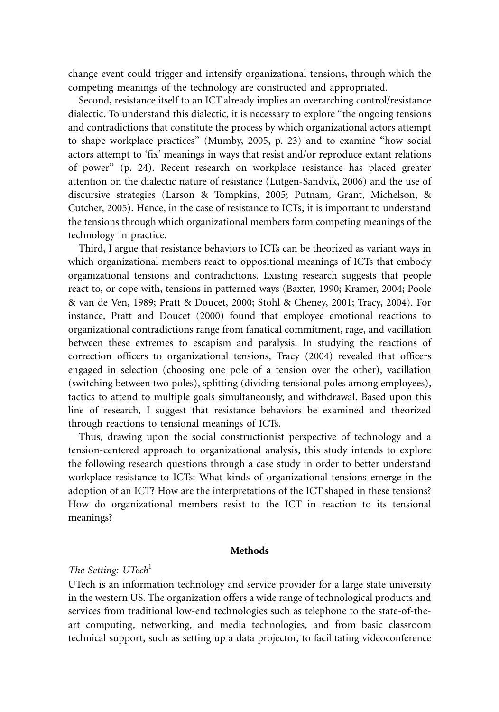change event could trigger and intensify organizational tensions, through which the competing meanings of the technology are constructed and appropriated.

Second, resistance itself to an ICT already implies an overarching control/resistance dialectic. To understand this dialectic, it is necessary to explore ''the ongoing tensions and contradictions that constitute the process by which organizational actors attempt to shape workplace practices'' (Mumby, 2005, p. 23) and to examine ''how social actors attempt to 'fix' meanings in ways that resist and/or reproduce extant relations of power'' (p. 24). Recent research on workplace resistance has placed greater attention on the dialectic nature of resistance (Lutgen-Sandvik, 2006) and the use of discursive strategies (Larson & Tompkins, 2005; Putnam, Grant, Michelson, & Cutcher, 2005). Hence, in the case of resistance to ICTs, it is important to understand the tensions through which organizational members form competing meanings of the technology in practice.

Third, I argue that resistance behaviors to ICTs can be theorized as variant ways in which organizational members react to oppositional meanings of ICTs that embody organizational tensions and contradictions. Existing research suggests that people react to, or cope with, tensions in patterned ways (Baxter, 1990; Kramer, 2004; Poole & van de Ven, 1989; Pratt & Doucet, 2000; Stohl & Cheney, 2001; Tracy, 2004). For instance, Pratt and Doucet (2000) found that employee emotional reactions to organizational contradictions range from fanatical commitment, rage, and vacillation between these extremes to escapism and paralysis. In studying the reactions of correction officers to organizational tensions, Tracy (2004) revealed that officers engaged in selection (choosing one pole of a tension over the other), vacillation (switching between two poles), splitting (dividing tensional poles among employees), tactics to attend to multiple goals simultaneously, and withdrawal. Based upon this line of research, I suggest that resistance behaviors be examined and theorized through reactions to tensional meanings of ICTs.

Thus, drawing upon the social constructionist perspective of technology and a tension-centered approach to organizational analysis, this study intends to explore the following research questions through a case study in order to better understand workplace resistance to ICTs: What kinds of organizational tensions emerge in the adoption of an ICT? How are the interpretations of the ICT shaped in these tensions? How do organizational members resist to the ICT in reaction to its tensional meanings?

#### Methods

#### The Setting:  $UTech<sup>1</sup>$

UTech is an information technology and service provider for a large state university in the western US. The organization offers a wide range of technological products and services from traditional low-end technologies such as telephone to the state-of-theart computing, networking, and media technologies, and from basic classroom technical support, such as setting up a data projector, to facilitating videoconference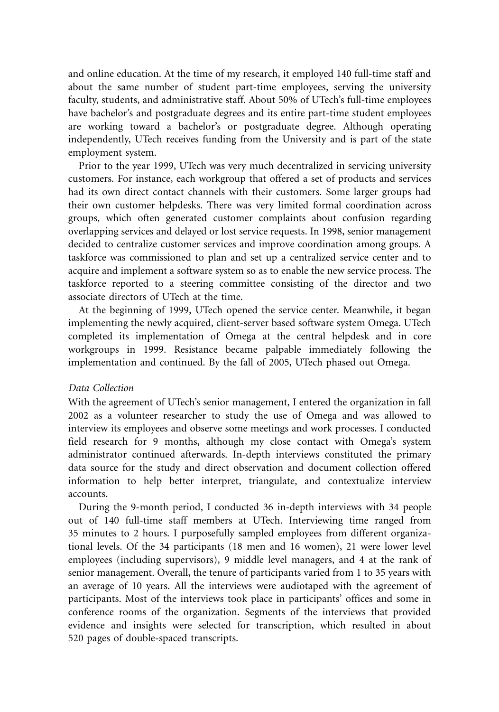and online education. At the time of my research, it employed 140 full-time staff and about the same number of student part-time employees, serving the university faculty, students, and administrative staff. About 50% of UTech's full-time employees have bachelor's and postgraduate degrees and its entire part-time student employees are working toward a bachelor's or postgraduate degree. Although operating independently, UTech receives funding from the University and is part of the state employment system.

Prior to the year 1999, UTech was very much decentralized in servicing university customers. For instance, each workgroup that offered a set of products and services had its own direct contact channels with their customers. Some larger groups had their own customer helpdesks. There was very limited formal coordination across groups, which often generated customer complaints about confusion regarding overlapping services and delayed or lost service requests. In 1998, senior management decided to centralize customer services and improve coordination among groups. A taskforce was commissioned to plan and set up a centralized service center and to acquire and implement a software system so as to enable the new service process. The taskforce reported to a steering committee consisting of the director and two associate directors of UTech at the time.

At the beginning of 1999, UTech opened the service center. Meanwhile, it began implementing the newly acquired, client-server based software system Omega. UTech completed its implementation of Omega at the central helpdesk and in core workgroups in 1999. Resistance became palpable immediately following the implementation and continued. By the fall of 2005, UTech phased out Omega.

#### Data Collection

With the agreement of UTech's senior management, I entered the organization in fall 2002 as a volunteer researcher to study the use of Omega and was allowed to interview its employees and observe some meetings and work processes. I conducted field research for 9 months, although my close contact with Omega's system administrator continued afterwards. In-depth interviews constituted the primary data source for the study and direct observation and document collection offered information to help better interpret, triangulate, and contextualize interview accounts.

During the 9-month period, I conducted 36 in-depth interviews with 34 people out of 140 full-time staff members at UTech. Interviewing time ranged from 35 minutes to 2 hours. I purposefully sampled employees from different organizational levels. Of the 34 participants (18 men and 16 women), 21 were lower level employees (including supervisors), 9 middle level managers, and 4 at the rank of senior management. Overall, the tenure of participants varied from 1 to 35 years with an average of 10 years. All the interviews were audiotaped with the agreement of participants. Most of the interviews took place in participants' offices and some in conference rooms of the organization. Segments of the interviews that provided evidence and insights were selected for transcription, which resulted in about 520 pages of double-spaced transcripts.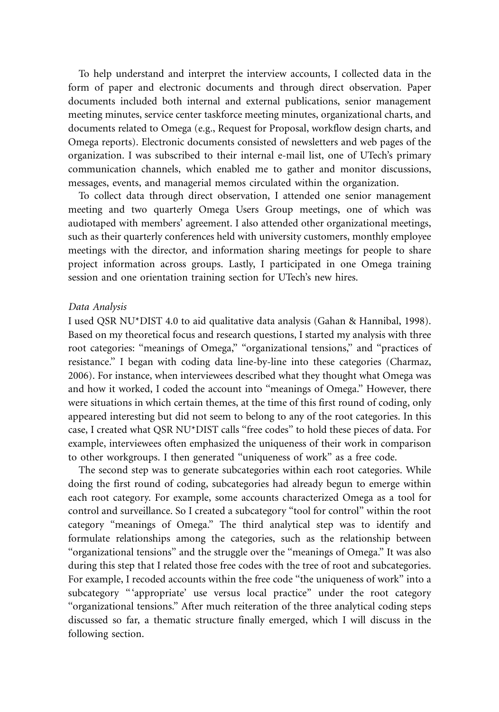To help understand and interpret the interview accounts, I collected data in the form of paper and electronic documents and through direct observation. Paper documents included both internal and external publications, senior management meeting minutes, service center taskforce meeting minutes, organizational charts, and documents related to Omega (e.g., Request for Proposal, workflow design charts, and Omega reports). Electronic documents consisted of newsletters and web pages of the organization. I was subscribed to their internal e-mail list, one of UTech's primary communication channels, which enabled me to gather and monitor discussions, messages, events, and managerial memos circulated within the organization.

To collect data through direct observation, I attended one senior management meeting and two quarterly Omega Users Group meetings, one of which was audiotaped with members' agreement. I also attended other organizational meetings, such as their quarterly conferences held with university customers, monthly employee meetings with the director, and information sharing meetings for people to share project information across groups. Lastly, I participated in one Omega training session and one orientation training section for UTech's new hires.

#### Data Analysis

I used QSR NU\*DIST 4.0 to aid qualitative data analysis (Gahan & Hannibal, 1998). Based on my theoretical focus and research questions, I started my analysis with three root categories: ''meanings of Omega,'' ''organizational tensions,'' and ''practices of resistance.'' I began with coding data line-by-line into these categories (Charmaz, 2006). For instance, when interviewees described what they thought what Omega was and how it worked, I coded the account into ''meanings of Omega.'' However, there were situations in which certain themes, at the time of this first round of coding, only appeared interesting but did not seem to belong to any of the root categories. In this case, I created what QSR NU\*DIST calls ''free codes'' to hold these pieces of data. For example, interviewees often emphasized the uniqueness of their work in comparison to other workgroups. I then generated ''uniqueness of work'' as a free code.

The second step was to generate subcategories within each root categories. While doing the first round of coding, subcategories had already begun to emerge within each root category. For example, some accounts characterized Omega as a tool for control and surveillance. So I created a subcategory ''tool for control'' within the root category ''meanings of Omega.'' The third analytical step was to identify and formulate relationships among the categories, such as the relationship between ''organizational tensions'' and the struggle over the ''meanings of Omega.'' It was also during this step that I related those free codes with the tree of root and subcategories. For example, I recoded accounts within the free code "the uniqueness of work" into a subcategory "'appropriate' use versus local practice" under the root category "organizational tensions." After much reiteration of the three analytical coding steps discussed so far, a thematic structure finally emerged, which I will discuss in the following section.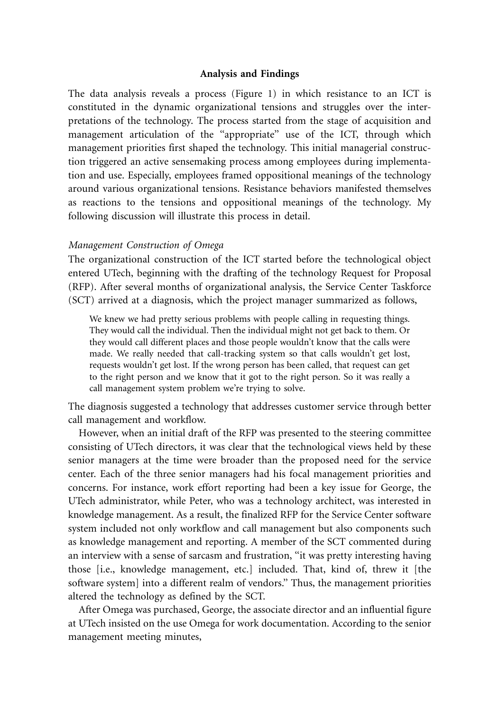#### Analysis and Findings

The data analysis reveals a process (Figure 1) in which resistance to an ICT is constituted in the dynamic organizational tensions and struggles over the interpretations of the technology. The process started from the stage of acquisition and management articulation of the ''appropriate'' use of the ICT, through which management priorities first shaped the technology. This initial managerial construction triggered an active sensemaking process among employees during implementation and use. Especially, employees framed oppositional meanings of the technology around various organizational tensions. Resistance behaviors manifested themselves as reactions to the tensions and oppositional meanings of the technology. My following discussion will illustrate this process in detail.

#### Management Construction of Omega

The organizational construction of the ICT started before the technological object entered UTech, beginning with the drafting of the technology Request for Proposal (RFP). After several months of organizational analysis, the Service Center Taskforce (SCT) arrived at a diagnosis, which the project manager summarized as follows,

We knew we had pretty serious problems with people calling in requesting things. They would call the individual. Then the individual might not get back to them. Or they would call different places and those people wouldn't know that the calls were made. We really needed that call-tracking system so that calls wouldn't get lost, requests wouldn't get lost. If the wrong person has been called, that request can get to the right person and we know that it got to the right person. So it was really a call management system problem we're trying to solve.

The diagnosis suggested a technology that addresses customer service through better call management and workflow.

However, when an initial draft of the RFP was presented to the steering committee consisting of UTech directors, it was clear that the technological views held by these senior managers at the time were broader than the proposed need for the service center. Each of the three senior managers had his focal management priorities and concerns. For instance, work effort reporting had been a key issue for George, the UTech administrator, while Peter, who was a technology architect, was interested in knowledge management. As a result, the finalized RFP for the Service Center software system included not only workflow and call management but also components such as knowledge management and reporting. A member of the SCT commented during an interview with a sense of sarcasm and frustration, ''it was pretty interesting having those [i.e., knowledge management, etc.] included. That, kind of, threw it [the software system] into a different realm of vendors.'' Thus, the management priorities altered the technology as defined by the SCT.

After Omega was purchased, George, the associate director and an influential figure at UTech insisted on the use Omega for work documentation. According to the senior management meeting minutes,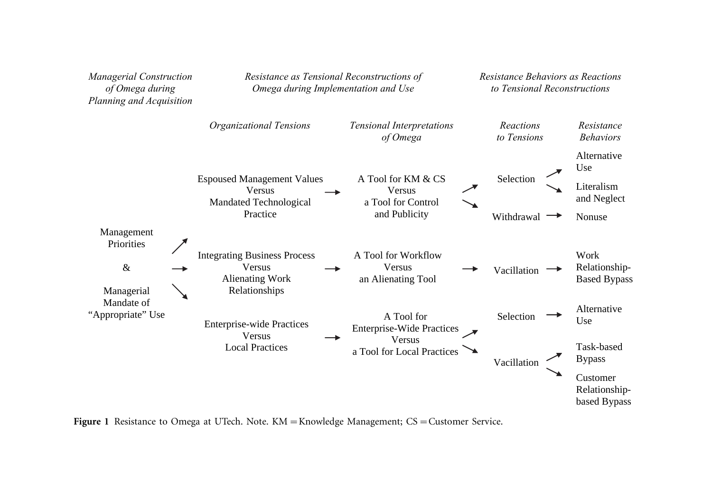

Figure 1 Resistance to Omega at UTech. Note. KM = Knowledge Management; CS = Customer Service.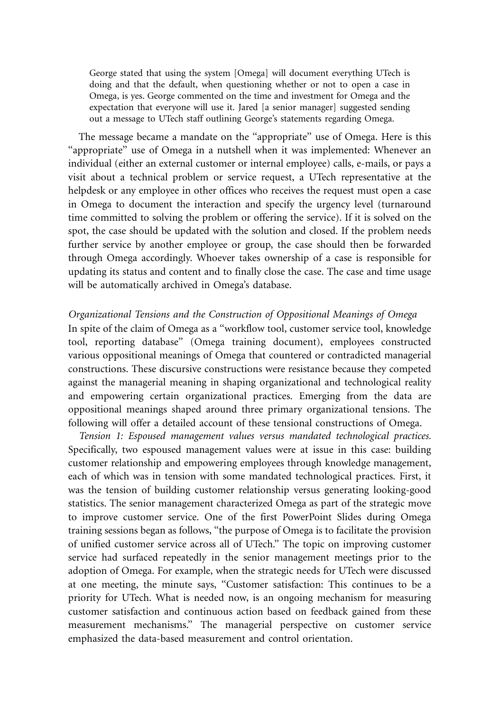George stated that using the system [Omega] will document everything UTech is doing and that the default, when questioning whether or not to open a case in Omega, is yes. George commented on the time and investment for Omega and the expectation that everyone will use it. Jared [a senior manager] suggested sending out a message to UTech staff outlining George's statements regarding Omega.

The message became a mandate on the ''appropriate'' use of Omega. Here is this "appropriate" use of Omega in a nutshell when it was implemented: Whenever an individual (either an external customer or internal employee) calls, e-mails, or pays a visit about a technical problem or service request, a UTech representative at the helpdesk or any employee in other offices who receives the request must open a case in Omega to document the interaction and specify the urgency level (turnaround time committed to solving the problem or offering the service). If it is solved on the spot, the case should be updated with the solution and closed. If the problem needs further service by another employee or group, the case should then be forwarded through Omega accordingly. Whoever takes ownership of a case is responsible for updating its status and content and to finally close the case. The case and time usage will be automatically archived in Omega's database.

#### Organizational Tensions and the Construction of Oppositional Meanings of Omega

In spite of the claim of Omega as a ''workflow tool, customer service tool, knowledge tool, reporting database'' (Omega training document), employees constructed various oppositional meanings of Omega that countered or contradicted managerial constructions. These discursive constructions were resistance because they competed against the managerial meaning in shaping organizational and technological reality and empowering certain organizational practices. Emerging from the data are oppositional meanings shaped around three primary organizational tensions. The following will offer a detailed account of these tensional constructions of Omega.

Tension 1: Espoused management values versus mandated technological practices. Specifically, two espoused management values were at issue in this case: building customer relationship and empowering employees through knowledge management, each of which was in tension with some mandated technological practices. First, it was the tension of building customer relationship versus generating looking-good statistics. The senior management characterized Omega as part of the strategic move to improve customer service. One of the first PowerPoint Slides during Omega training sessions began as follows, ''the purpose of Omega is to facilitate the provision of unified customer service across all of UTech.'' The topic on improving customer service had surfaced repeatedly in the senior management meetings prior to the adoption of Omega. For example, when the strategic needs for UTech were discussed at one meeting, the minute says, ''Customer satisfaction: This continues to be a priority for UTech. What is needed now, is an ongoing mechanism for measuring customer satisfaction and continuous action based on feedback gained from these measurement mechanisms.'' The managerial perspective on customer service emphasized the data-based measurement and control orientation.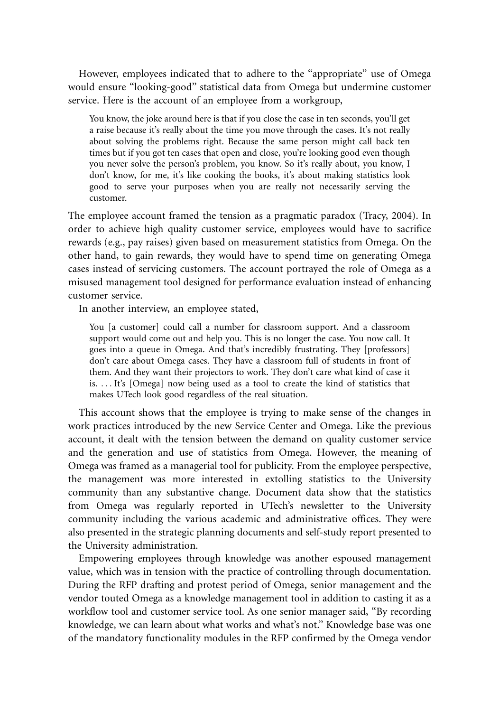However, employees indicated that to adhere to the ''appropriate'' use of Omega would ensure ''looking-good'' statistical data from Omega but undermine customer service. Here is the account of an employee from a workgroup,

You know, the joke around here is that if you close the case in ten seconds, you'll get a raise because it's really about the time you move through the cases. It's not really about solving the problems right. Because the same person might call back ten times but if you got ten cases that open and close, you're looking good even though you never solve the person's problem, you know. So it's really about, you know, I don't know, for me, it's like cooking the books, it's about making statistics look good to serve your purposes when you are really not necessarily serving the customer.

The employee account framed the tension as a pragmatic paradox (Tracy, 2004). In order to achieve high quality customer service, employees would have to sacrifice rewards (e.g., pay raises) given based on measurement statistics from Omega. On the other hand, to gain rewards, they would have to spend time on generating Omega cases instead of servicing customers. The account portrayed the role of Omega as a misused management tool designed for performance evaluation instead of enhancing customer service.

In another interview, an employee stated,

You [a customer] could call a number for classroom support. And a classroom support would come out and help you. This is no longer the case. You now call. It goes into a queue in Omega. And that's incredibly frustrating. They [professors] don't care about Omega cases. They have a classroom full of students in front of them. And they want their projectors to work. They don't care what kind of case it is. ... It's [Omega] now being used as a tool to create the kind of statistics that makes UTech look good regardless of the real situation.

This account shows that the employee is trying to make sense of the changes in work practices introduced by the new Service Center and Omega. Like the previous account, it dealt with the tension between the demand on quality customer service and the generation and use of statistics from Omega. However, the meaning of Omega was framed as a managerial tool for publicity. From the employee perspective, the management was more interested in extolling statistics to the University community than any substantive change. Document data show that the statistics from Omega was regularly reported in UTech's newsletter to the University community including the various academic and administrative offices. They were also presented in the strategic planning documents and self-study report presented to the University administration.

Empowering employees through knowledge was another espoused management value, which was in tension with the practice of controlling through documentation. During the RFP drafting and protest period of Omega, senior management and the vendor touted Omega as a knowledge management tool in addition to casting it as a workflow tool and customer service tool. As one senior manager said, ''By recording knowledge, we can learn about what works and what's not.'' Knowledge base was one of the mandatory functionality modules in the RFP confirmed by the Omega vendor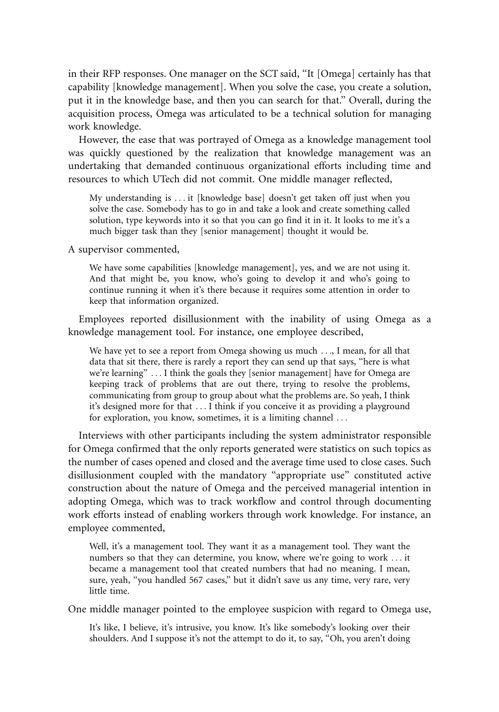in their RFP responses. One manager on the SCT said, ''It [Omega] certainly has that capability [knowledge management]. When you solve the case, you create a solution, put it in the knowledge base, and then you can search for that.'' Overall, during the acquisition process, Omega was articulated to be a technical solution for managing work knowledge.

However, the ease that was portrayed of Omega as a knowledge management tool was quickly questioned by the realization that knowledge management was an undertaking that demanded continuous organizational efforts including time and resources to which UTech did not commit. One middle manager reflected,

My understanding is ... it [knowledge base] doesn't get taken off just when you solve the case. Somebody has to go in and take a look and create something called solution, type keywords into it so that you can go find it in it. It looks to me it's a much bigger task than they [senior management] thought it would be.

A supervisor commented,

We have some capabilities [knowledge management], yes, and we are not using it. And that might be, you know, who's going to develop it and who's going to continue running it when it's there because it requires some attention in order to keep that information organized.

Employees reported disillusionment with the inability of using Omega as a knowledge management tool. For instance, one employee described,

We have yet to see a report from Omega showing us much ..., I mean, for all that data that sit there, there is rarely a report they can send up that says, ''here is what we're learning'' ... I think the goals they [senior management] have for Omega are keeping track of problems that are out there, trying to resolve the problems, communicating from group to group about what the problems are. So yeah, I think it's designed more for that ... I think if you conceive it as providing a playground for exploration, you know, sometimes, it is a limiting channel ...

Interviews with other participants including the system administrator responsible for Omega confirmed that the only reports generated were statistics on such topics as the number of cases opened and closed and the average time used to close cases. Such disillusionment coupled with the mandatory ''appropriate use'' constituted active construction about the nature of Omega and the perceived managerial intention in adopting Omega, which was to track workflow and control through documenting work efforts instead of enabling workers through work knowledge. For instance, an employee commented,

Well, it's a management tool. They want it as a management tool. They want the numbers so that they can determine, you know, where we're going to work ... it became a management tool that created numbers that had no meaning. I mean, sure, yeah, ''you handled 567 cases,'' but it didn't save us any time, very rare, very little time.

One middle manager pointed to the employee suspicion with regard to Omega use,

It's like, I believe, it's intrusive, you know. It's like somebody's looking over their shoulders. And I suppose it's not the attempt to do it, to say, ''Oh, you aren't doing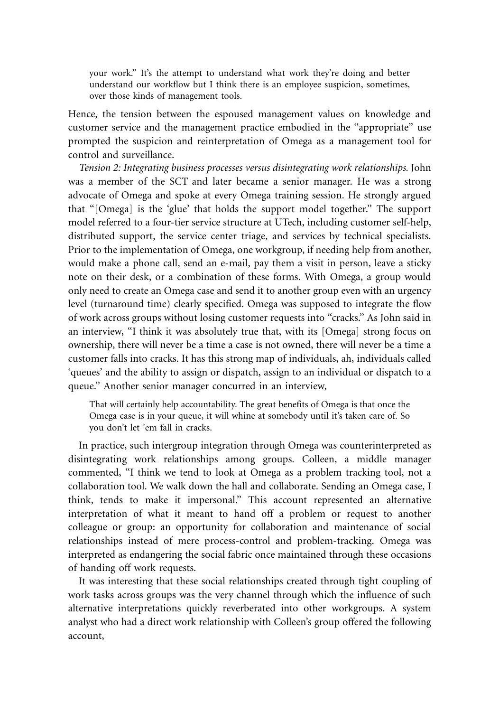your work.'' It's the attempt to understand what work they're doing and better understand our workflow but I think there is an employee suspicion, sometimes, over those kinds of management tools.

Hence, the tension between the espoused management values on knowledge and customer service and the management practice embodied in the ''appropriate'' use prompted the suspicion and reinterpretation of Omega as a management tool for control and surveillance.

Tension 2: Integrating business processes versus disintegrating work relationships. John was a member of the SCT and later became a senior manager. He was a strong advocate of Omega and spoke at every Omega training session. He strongly argued that ''[Omega] is the 'glue' that holds the support model together.'' The support model referred to a four-tier service structure at UTech, including customer self-help, distributed support, the service center triage, and services by technical specialists. Prior to the implementation of Omega, one workgroup, if needing help from another, would make a phone call, send an e-mail, pay them a visit in person, leave a sticky note on their desk, or a combination of these forms. With Omega, a group would only need to create an Omega case and send it to another group even with an urgency level (turnaround time) clearly specified. Omega was supposed to integrate the flow of work across groups without losing customer requests into "cracks." As John said in an interview, ''I think it was absolutely true that, with its [Omega] strong focus on ownership, there will never be a time a case is not owned, there will never be a time a customer falls into cracks. It has this strong map of individuals, ah, individuals called 'queues' and the ability to assign or dispatch, assign to an individual or dispatch to a queue.'' Another senior manager concurred in an interview,

That will certainly help accountability. The great benefits of Omega is that once the Omega case is in your queue, it will whine at somebody until it's taken care of. So you don't let 'em fall in cracks.

In practice, such intergroup integration through Omega was counterinterpreted as disintegrating work relationships among groups. Colleen, a middle manager commented, ''I think we tend to look at Omega as a problem tracking tool, not a collaboration tool. We walk down the hall and collaborate. Sending an Omega case, I think, tends to make it impersonal.'' This account represented an alternative interpretation of what it meant to hand off a problem or request to another colleague or group: an opportunity for collaboration and maintenance of social relationships instead of mere process-control and problem-tracking. Omega was interpreted as endangering the social fabric once maintained through these occasions of handing off work requests.

It was interesting that these social relationships created through tight coupling of work tasks across groups was the very channel through which the influence of such alternative interpretations quickly reverberated into other workgroups. A system analyst who had a direct work relationship with Colleen's group offered the following account,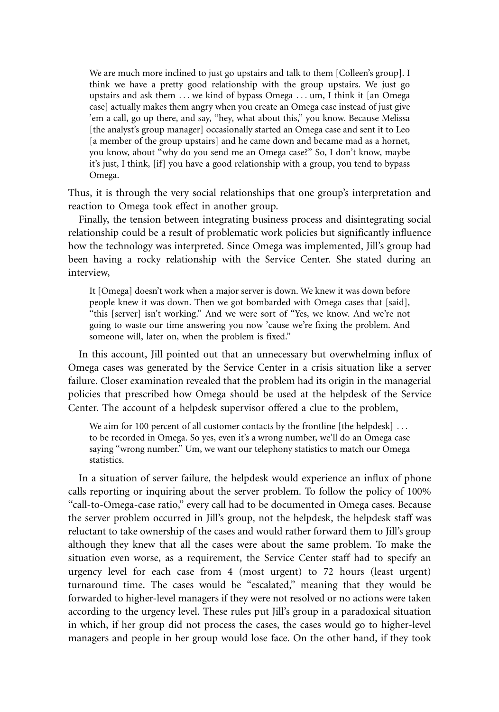We are much more inclined to just go upstairs and talk to them [Colleen's group]. I think we have a pretty good relationship with the group upstairs. We just go upstairs and ask them ... we kind of bypass Omega ... um, I think it [an Omega case] actually makes them angry when you create an Omega case instead of just give 'em a call, go up there, and say, "hey, what about this," you know. Because Melissa [the analyst's group manager] occasionally started an Omega case and sent it to Leo [a member of the group upstairs] and he came down and became mad as a hornet, you know, about ''why do you send me an Omega case?'' So, I don't know, maybe it's just, I think, [if] you have a good relationship with a group, you tend to bypass Omega.

Thus, it is through the very social relationships that one group's interpretation and reaction to Omega took effect in another group.

Finally, the tension between integrating business process and disintegrating social relationship could be a result of problematic work policies but significantly influence how the technology was interpreted. Since Omega was implemented, Jill's group had been having a rocky relationship with the Service Center. She stated during an interview,

It [Omega] doesn't work when a major server is down. We knew it was down before people knew it was down. Then we got bombarded with Omega cases that [said], "this [server] isn't working." And we were sort of "Yes, we know. And we're not going to waste our time answering you now 'cause we're fixing the problem. And someone will, later on, when the problem is fixed.''

In this account, Jill pointed out that an unnecessary but overwhelming influx of Omega cases was generated by the Service Center in a crisis situation like a server failure. Closer examination revealed that the problem had its origin in the managerial policies that prescribed how Omega should be used at the helpdesk of the Service Center. The account of a helpdesk supervisor offered a clue to the problem,

We aim for 100 percent of all customer contacts by the frontline [the helpdesk] ... to be recorded in Omega. So yes, even it's a wrong number, we'll do an Omega case saying "wrong number." Um, we want our telephony statistics to match our Omega statistics.

In a situation of server failure, the helpdesk would experience an influx of phone calls reporting or inquiring about the server problem. To follow the policy of 100% ''call-to-Omega-case ratio,'' every call had to be documented in Omega cases. Because the server problem occurred in Jill's group, not the helpdesk, the helpdesk staff was reluctant to take ownership of the cases and would rather forward them to Jill's group although they knew that all the cases were about the same problem. To make the situation even worse, as a requirement, the Service Center staff had to specify an urgency level for each case from 4 (most urgent) to 72 hours (least urgent) turnaround time. The cases would be ''escalated,'' meaning that they would be forwarded to higher-level managers if they were not resolved or no actions were taken according to the urgency level. These rules put Jill's group in a paradoxical situation in which, if her group did not process the cases, the cases would go to higher-level managers and people in her group would lose face. On the other hand, if they took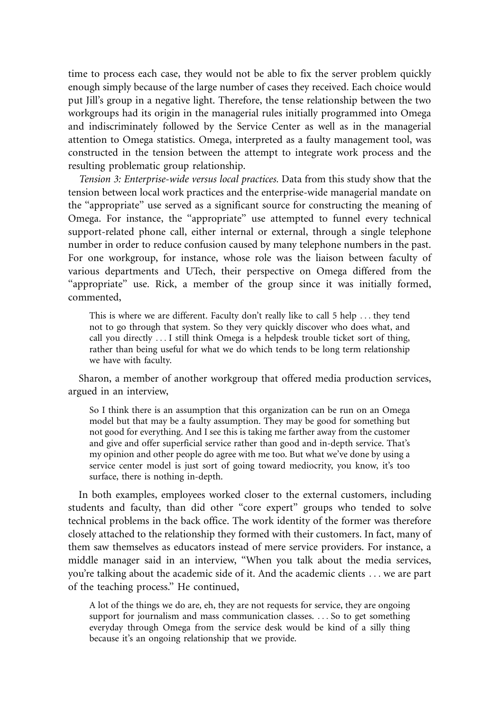time to process each case, they would not be able to fix the server problem quickly enough simply because of the large number of cases they received. Each choice would put Jill's group in a negative light. Therefore, the tense relationship between the two workgroups had its origin in the managerial rules initially programmed into Omega and indiscriminately followed by the Service Center as well as in the managerial attention to Omega statistics. Omega, interpreted as a faulty management tool, was constructed in the tension between the attempt to integrate work process and the resulting problematic group relationship.

Tension 3: Enterprise-wide versus local practices. Data from this study show that the tension between local work practices and the enterprise-wide managerial mandate on the ''appropriate'' use served as a significant source for constructing the meaning of Omega. For instance, the ''appropriate'' use attempted to funnel every technical support-related phone call, either internal or external, through a single telephone number in order to reduce confusion caused by many telephone numbers in the past. For one workgroup, for instance, whose role was the liaison between faculty of various departments and UTech, their perspective on Omega differed from the "appropriate" use. Rick, a member of the group since it was initially formed, commented,

This is where we are different. Faculty don't really like to call 5 help ... they tend not to go through that system. So they very quickly discover who does what, and call you directly ... I still think Omega is a helpdesk trouble ticket sort of thing, rather than being useful for what we do which tends to be long term relationship we have with faculty.

Sharon, a member of another workgroup that offered media production services, argued in an interview,

So I think there is an assumption that this organization can be run on an Omega model but that may be a faulty assumption. They may be good for something but not good for everything. And I see this is taking me farther away from the customer and give and offer superficial service rather than good and in-depth service. That's my opinion and other people do agree with me too. But what we've done by using a service center model is just sort of going toward mediocrity, you know, it's too surface, there is nothing in-depth.

In both examples, employees worked closer to the external customers, including students and faculty, than did other ''core expert'' groups who tended to solve technical problems in the back office. The work identity of the former was therefore closely attached to the relationship they formed with their customers. In fact, many of them saw themselves as educators instead of mere service providers. For instance, a middle manager said in an interview, ''When you talk about the media services, you're talking about the academic side of it. And the academic clients ... we are part of the teaching process.'' He continued,

A lot of the things we do are, eh, they are not requests for service, they are ongoing support for journalism and mass communication classes. ... So to get something everyday through Omega from the service desk would be kind of a silly thing because it's an ongoing relationship that we provide.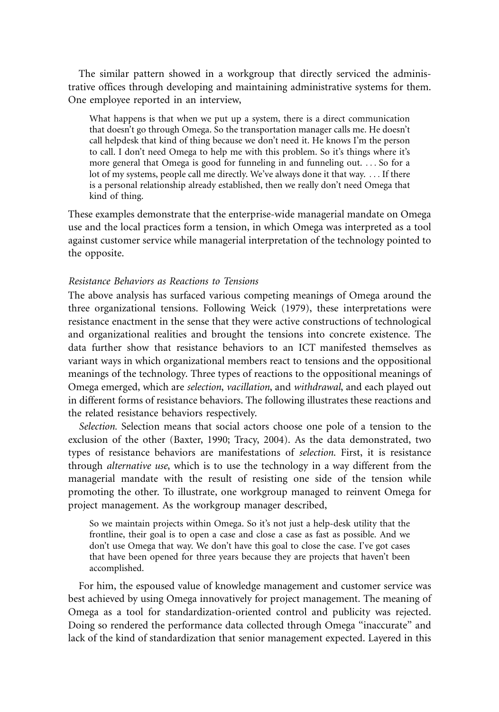The similar pattern showed in a workgroup that directly serviced the administrative offices through developing and maintaining administrative systems for them. One employee reported in an interview,

What happens is that when we put up a system, there is a direct communication that doesn't go through Omega. So the transportation manager calls me. He doesn't call helpdesk that kind of thing because we don't need it. He knows I'm the person to call. I don't need Omega to help me with this problem. So it's things where it's more general that Omega is good for funneling in and funneling out. ... So for a lot of my systems, people call me directly. We've always done it that way. ... If there is a personal relationship already established, then we really don't need Omega that kind of thing.

These examples demonstrate that the enterprise-wide managerial mandate on Omega use and the local practices form a tension, in which Omega was interpreted as a tool against customer service while managerial interpretation of the technology pointed to the opposite.

#### Resistance Behaviors as Reactions to Tensions

The above analysis has surfaced various competing meanings of Omega around the three organizational tensions. Following Weick (1979), these interpretations were resistance enactment in the sense that they were active constructions of technological and organizational realities and brought the tensions into concrete existence. The data further show that resistance behaviors to an ICT manifested themselves as variant ways in which organizational members react to tensions and the oppositional meanings of the technology. Three types of reactions to the oppositional meanings of Omega emerged, which are selection, vacillation, and withdrawal, and each played out in different forms of resistance behaviors. The following illustrates these reactions and the related resistance behaviors respectively.

Selection. Selection means that social actors choose one pole of a tension to the exclusion of the other (Baxter, 1990; Tracy, 2004). As the data demonstrated, two types of resistance behaviors are manifestations of selection. First, it is resistance through alternative use, which is to use the technology in a way different from the managerial mandate with the result of resisting one side of the tension while promoting the other. To illustrate, one workgroup managed to reinvent Omega for project management. As the workgroup manager described,

So we maintain projects within Omega. So it's not just a help-desk utility that the frontline, their goal is to open a case and close a case as fast as possible. And we don't use Omega that way. We don't have this goal to close the case. I've got cases that have been opened for three years because they are projects that haven't been accomplished.

For him, the espoused value of knowledge management and customer service was best achieved by using Omega innovatively for project management. The meaning of Omega as a tool for standardization-oriented control and publicity was rejected. Doing so rendered the performance data collected through Omega ''inaccurate'' and lack of the kind of standardization that senior management expected. Layered in this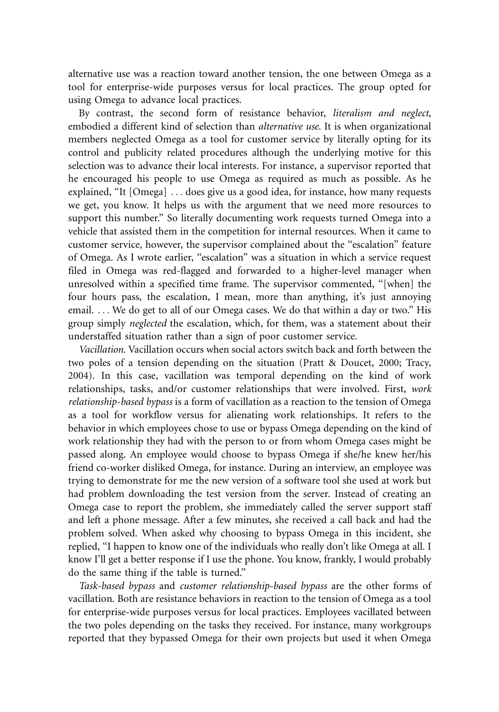alternative use was a reaction toward another tension, the one between Omega as a tool for enterprise-wide purposes versus for local practices. The group opted for using Omega to advance local practices.

By contrast, the second form of resistance behavior, literalism and neglect, embodied a different kind of selection than alternative use. It is when organizational members neglected Omega as a tool for customer service by literally opting for its control and publicity related procedures although the underlying motive for this selection was to advance their local interests. For instance, a supervisor reported that he encouraged his people to use Omega as required as much as possible. As he explained, ''It [Omega] ... does give us a good idea, for instance, how many requests we get, you know. It helps us with the argument that we need more resources to support this number.'' So literally documenting work requests turned Omega into a vehicle that assisted them in the competition for internal resources. When it came to customer service, however, the supervisor complained about the ''escalation'' feature of Omega. As I wrote earlier, ''escalation'' was a situation in which a service request filed in Omega was red-flagged and forwarded to a higher-level manager when unresolved within a specified time frame. The supervisor commented, ''[when] the four hours pass, the escalation, I mean, more than anything, it's just annoying email. ... We do get to all of our Omega cases. We do that within a day or two.'' His group simply neglected the escalation, which, for them, was a statement about their understaffed situation rather than a sign of poor customer service.

Vacillation. Vacillation occurs when social actors switch back and forth between the two poles of a tension depending on the situation (Pratt & Doucet, 2000; Tracy, 2004). In this case, vacillation was temporal depending on the kind of work relationships, tasks, and/or customer relationships that were involved. First, work relationship-based bypass is a form of vacillation as a reaction to the tension of Omega as a tool for workflow versus for alienating work relationships. It refers to the behavior in which employees chose to use or bypass Omega depending on the kind of work relationship they had with the person to or from whom Omega cases might be passed along. An employee would choose to bypass Omega if she/he knew her/his friend co-worker disliked Omega, for instance. During an interview, an employee was trying to demonstrate for me the new version of a software tool she used at work but had problem downloading the test version from the server. Instead of creating an Omega case to report the problem, she immediately called the server support staff and left a phone message. After a few minutes, she received a call back and had the problem solved. When asked why choosing to bypass Omega in this incident, she replied, ''I happen to know one of the individuals who really don't like Omega at all. I know I'll get a better response if I use the phone. You know, frankly, I would probably do the same thing if the table is turned.''

Task-based bypass and customer relationship-based bypass are the other forms of vacillation. Both are resistance behaviors in reaction to the tension of Omega as a tool for enterprise-wide purposes versus for local practices. Employees vacillated between the two poles depending on the tasks they received. For instance, many workgroups reported that they bypassed Omega for their own projects but used it when Omega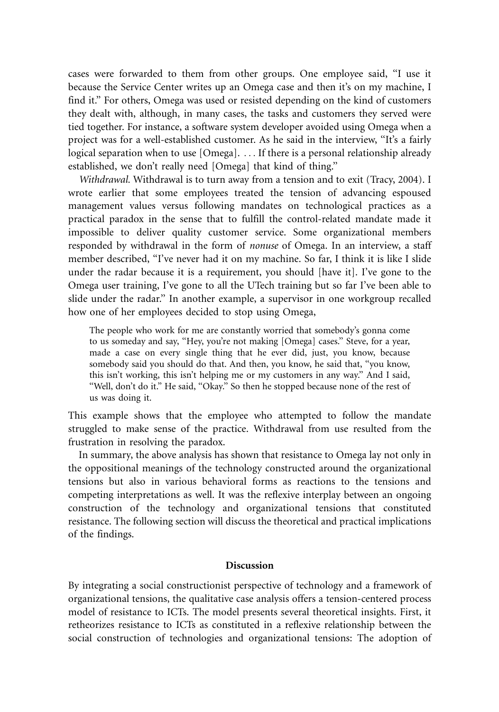cases were forwarded to them from other groups. One employee said, ''I use it because the Service Center writes up an Omega case and then it's on my machine, I find it.'' For others, Omega was used or resisted depending on the kind of customers they dealt with, although, in many cases, the tasks and customers they served were tied together. For instance, a software system developer avoided using Omega when a project was for a well-established customer. As he said in the interview, ''It's a fairly logical separation when to use [Omega]. ... If there is a personal relationship already established, we don't really need [Omega] that kind of thing.''

Withdrawal. Withdrawal is to turn away from a tension and to exit (Tracy, 2004). I wrote earlier that some employees treated the tension of advancing espoused management values versus following mandates on technological practices as a practical paradox in the sense that to fulfill the control-related mandate made it impossible to deliver quality customer service. Some organizational members responded by withdrawal in the form of *nonuse* of Omega. In an interview, a staff member described, ''I've never had it on my machine. So far, I think it is like I slide under the radar because it is a requirement, you should [have it]. I've gone to the Omega user training, I've gone to all the UTech training but so far I've been able to slide under the radar.'' In another example, a supervisor in one workgroup recalled how one of her employees decided to stop using Omega,

The people who work for me are constantly worried that somebody's gonna come to us someday and say, ''Hey, you're not making [Omega] cases.'' Steve, for a year, made a case on every single thing that he ever did, just, you know, because somebody said you should do that. And then, you know, he said that, ''you know, this isn't working, this isn't helping me or my customers in any way.'' And I said, "Well, don't do it." He said, "Okay." So then he stopped because none of the rest of us was doing it.

This example shows that the employee who attempted to follow the mandate struggled to make sense of the practice. Withdrawal from use resulted from the frustration in resolving the paradox.

In summary, the above analysis has shown that resistance to Omega lay not only in the oppositional meanings of the technology constructed around the organizational tensions but also in various behavioral forms as reactions to the tensions and competing interpretations as well. It was the reflexive interplay between an ongoing construction of the technology and organizational tensions that constituted resistance. The following section will discuss the theoretical and practical implications of the findings.

#### Discussion

By integrating a social constructionist perspective of technology and a framework of organizational tensions, the qualitative case analysis offers a tension-centered process model of resistance to ICTs. The model presents several theoretical insights. First, it retheorizes resistance to ICTs as constituted in a reflexive relationship between the social construction of technologies and organizational tensions: The adoption of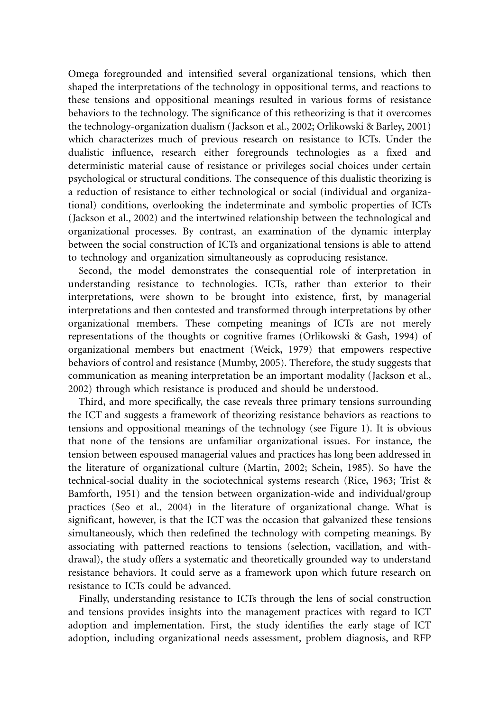Omega foregrounded and intensified several organizational tensions, which then shaped the interpretations of the technology in oppositional terms, and reactions to these tensions and oppositional meanings resulted in various forms of resistance behaviors to the technology. The significance of this retheorizing is that it overcomes the technology-organization dualism (Jackson et al., 2002; Orlikowski & Barley, 2001) which characterizes much of previous research on resistance to ICTs. Under the dualistic influence, research either foregrounds technologies as a fixed and deterministic material cause of resistance or privileges social choices under certain psychological or structural conditions. The consequence of this dualistic theorizing is a reduction of resistance to either technological or social (individual and organizational) conditions, overlooking the indeterminate and symbolic properties of ICTs (Jackson et al., 2002) and the intertwined relationship between the technological and organizational processes. By contrast, an examination of the dynamic interplay between the social construction of ICTs and organizational tensions is able to attend to technology and organization simultaneously as coproducing resistance.

Second, the model demonstrates the consequential role of interpretation in understanding resistance to technologies. ICTs, rather than exterior to their interpretations, were shown to be brought into existence, first, by managerial interpretations and then contested and transformed through interpretations by other organizational members. These competing meanings of ICTs are not merely representations of the thoughts or cognitive frames (Orlikowski & Gash, 1994) of organizational members but enactment (Weick, 1979) that empowers respective behaviors of control and resistance (Mumby, 2005). Therefore, the study suggests that communication as meaning interpretation be an important modality (Jackson et al., 2002) through which resistance is produced and should be understood.

Third, and more specifically, the case reveals three primary tensions surrounding the ICT and suggests a framework of theorizing resistance behaviors as reactions to tensions and oppositional meanings of the technology (see Figure 1). It is obvious that none of the tensions are unfamiliar organizational issues. For instance, the tension between espoused managerial values and practices has long been addressed in the literature of organizational culture (Martin, 2002; Schein, 1985). So have the technical-social duality in the sociotechnical systems research (Rice, 1963; Trist & Bamforth, 1951) and the tension between organization-wide and individual/group practices (Seo et al., 2004) in the literature of organizational change. What is significant, however, is that the ICT was the occasion that galvanized these tensions simultaneously, which then redefined the technology with competing meanings. By associating with patterned reactions to tensions (selection, vacillation, and withdrawal), the study offers a systematic and theoretically grounded way to understand resistance behaviors. It could serve as a framework upon which future research on resistance to ICTs could be advanced.

Finally, understanding resistance to ICTs through the lens of social construction and tensions provides insights into the management practices with regard to ICT adoption and implementation. First, the study identifies the early stage of ICT adoption, including organizational needs assessment, problem diagnosis, and RFP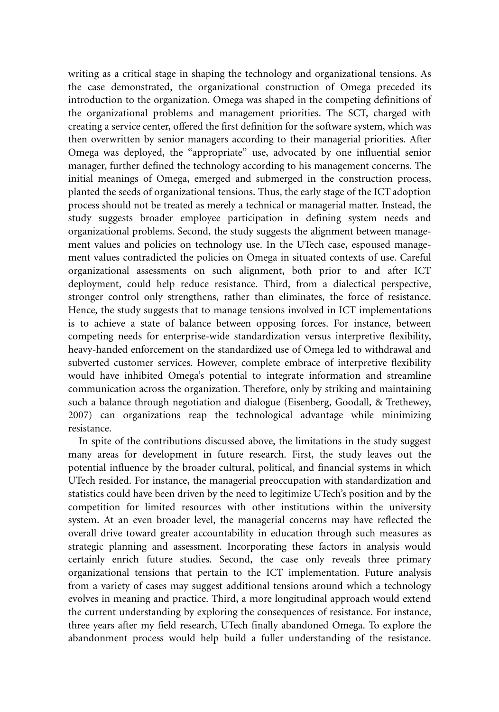writing as a critical stage in shaping the technology and organizational tensions. As the case demonstrated, the organizational construction of Omega preceded its introduction to the organization. Omega was shaped in the competing definitions of the organizational problems and management priorities. The SCT, charged with creating a service center, offered the first definition for the software system, which was then overwritten by senior managers according to their managerial priorities. After Omega was deployed, the ''appropriate'' use, advocated by one influential senior manager, further defined the technology according to his management concerns. The initial meanings of Omega, emerged and submerged in the construction process, planted the seeds of organizational tensions. Thus, the early stage of the ICT adoption process should not be treated as merely a technical or managerial matter. Instead, the study suggests broader employee participation in defining system needs and organizational problems. Second, the study suggests the alignment between management values and policies on technology use. In the UTech case, espoused management values contradicted the policies on Omega in situated contexts of use. Careful organizational assessments on such alignment, both prior to and after ICT deployment, could help reduce resistance. Third, from a dialectical perspective, stronger control only strengthens, rather than eliminates, the force of resistance. Hence, the study suggests that to manage tensions involved in ICT implementations is to achieve a state of balance between opposing forces. For instance, between competing needs for enterprise-wide standardization versus interpretive flexibility, heavy-handed enforcement on the standardized use of Omega led to withdrawal and subverted customer services. However, complete embrace of interpretive flexibility would have inhibited Omega's potential to integrate information and streamline communication across the organization. Therefore, only by striking and maintaining such a balance through negotiation and dialogue (Eisenberg, Goodall, & Trethewey, 2007) can organizations reap the technological advantage while minimizing resistance.

In spite of the contributions discussed above, the limitations in the study suggest many areas for development in future research. First, the study leaves out the potential influence by the broader cultural, political, and financial systems in which UTech resided. For instance, the managerial preoccupation with standardization and statistics could have been driven by the need to legitimize UTech's position and by the competition for limited resources with other institutions within the university system. At an even broader level, the managerial concerns may have reflected the overall drive toward greater accountability in education through such measures as strategic planning and assessment. Incorporating these factors in analysis would certainly enrich future studies. Second, the case only reveals three primary organizational tensions that pertain to the ICT implementation. Future analysis from a variety of cases may suggest additional tensions around which a technology evolves in meaning and practice. Third, a more longitudinal approach would extend the current understanding by exploring the consequences of resistance. For instance, three years after my field research, UTech finally abandoned Omega. To explore the abandonment process would help build a fuller understanding of the resistance.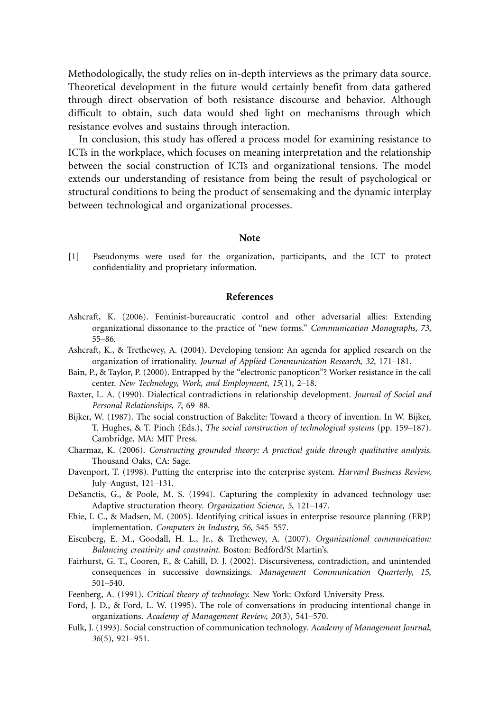Methodologically, the study relies on in-depth interviews as the primary data source. Theoretical development in the future would certainly benefit from data gathered through direct observation of both resistance discourse and behavior. Although difficult to obtain, such data would shed light on mechanisms through which resistance evolves and sustains through interaction.

In conclusion, this study has offered a process model for examining resistance to ICTs in the workplace, which focuses on meaning interpretation and the relationship between the social construction of ICTs and organizational tensions. The model extends our understanding of resistance from being the result of psychological or structural conditions to being the product of sensemaking and the dynamic interplay between technological and organizational processes.

#### Note

[1] Pseudonyms were used for the organization, participants, and the ICT to protect confidentiality and proprietary information.

#### References

- Ashcraft, K. (2006). Feminist-bureaucratic control and other adversarial allies: Extending organizational dissonance to the practice of ''new forms.'' Communication Monographs, 73, 55-86.
- Ashcraft, K., & Trethewey, A. (2004). Developing tension: An agenda for applied research on the organization of irrationality. Journal of Applied Communication Research, 32, 171-181.
- Bain, P., & Taylor, P. (2000). Entrapped by the ''electronic panopticon''? Worker resistance in the call center. New Technology, Work, and Employment, 15(1), 2-18.
- Baxter, L. A. (1990). Dialectical contradictions in relationship development. Journal of Social and Personal Relationships, 7, 69-88.
- Bijker, W. (1987). The social construction of Bakelite: Toward a theory of invention. In W. Bijker, T. Hughes, & T. Pinch (Eds.), The social construction of technological systems (pp. 159–187). Cambridge, MA: MIT Press.
- Charmaz, K. (2006). Constructing grounded theory: A practical guide through qualitative analysis. Thousand Oaks, CA: Sage.
- Davenport, T. (1998). Putting the enterprise into the enterprise system. Harvard Business Review, July-August, 121-131.
- DeSanctis, G., & Poole, M. S. (1994). Capturing the complexity in advanced technology use: Adaptive structuration theory. Organization Science, 5, 121-147.
- Ehie, I. C., & Madsen, M. (2005). Identifying critical issues in enterprise resource planning (ERP) implementation. Computers in Industry, 56, 545-557.
- Eisenberg, E. M., Goodall, H. L., Jr., & Trethewey, A. (2007). Organizational communication: Balancing creativity and constraint. Boston: Bedford/St Martin's.
- Fairhurst, G. T., Cooren, F., & Cahill, D. J. (2002). Discursiveness, contradiction, and unintended consequences in successive downsizings. Management Communication Quarterly, 15, 501-540.
- Feenberg, A. (1991). Critical theory of technology. New York: Oxford University Press.
- Ford, J. D., & Ford, L. W. (1995). The role of conversations in producing intentional change in organizations. Academy of Management Review, 20(3), 541-570.
- Fulk, J. (1993). Social construction of communication technology. Academy of Management Journal,  $36(5)$ , 921-951.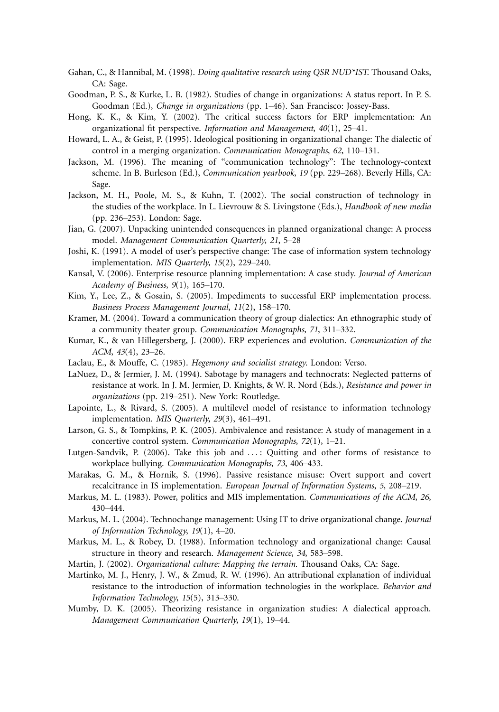- Gahan, C., & Hannibal, M. (1998). Doing qualitative research using QSR NUD\*IST. Thousand Oaks, CA: Sage.
- Goodman, P. S., & Kurke, L. B. (1982). Studies of change in organizations: A status report. In P. S. Goodman (Ed.), Change in organizations (pp. 1–46). San Francisco: Jossey-Bass.
- Hong, K. K., & Kim, Y. (2002). The critical success factors for ERP implementation: An organizational fit perspective. Information and Management,  $40(1)$ , 25-41.
- Howard, L. A., & Geist, P. (1995). Ideological positioning in organizational change: The dialectic of control in a merging organization. Communication Monographs, 62, 110-131.
- Jackson, M. (1996). The meaning of ''communication technology'': The technology-context scheme. In B. Burleson (Ed.), Communication yearbook, 19 (pp. 229–268). Beverly Hills, CA: Sage.
- Jackson, M. H., Poole, M. S., & Kuhn, T. (2002). The social construction of technology in the studies of the workplace. In L. Lievrouw & S. Livingstone (Eds.), Handbook of new media (pp. 236–253). London: Sage.
- Jian, G. (2007). Unpacking unintended consequences in planned organizational change: A process model. Management Communication Quarterly, 21, 5-28
- Joshi, K. (1991). A model of user's perspective change: The case of information system technology implementation. MIS Quarterly,  $15(2)$ ,  $229-240$ .
- Kansal, V. (2006). Enterprise resource planning implementation: A case study. Journal of American Academy of Business,  $9(1)$ , 165-170.
- Kim, Y., Lee, Z., & Gosain, S. (2005). Impediments to successful ERP implementation process. Business Process Management Journal, 11(2), 158-170.
- Kramer, M. (2004). Toward a communication theory of group dialectics: An ethnographic study of a community theater group. Communication Monographs, 71, 311-332.
- Kumar, K., & van Hillegersberg, J. (2000). ERP experiences and evolution. Communication of the ACM, 43(4), 23-26.
- Laclau, E., & Mouffe, C. (1985). Hegemony and socialist strategy. London: Verso.
- LaNuez, D., & Jermier, J. M. (1994). Sabotage by managers and technocrats: Neglected patterns of resistance at work. In J. M. Jermier, D. Knights, & W. R. Nord (Eds.), Resistance and power in organizations (pp. 219-251). New York: Routledge.
- Lapointe, L., & Rivard, S. (2005). A multilevel model of resistance to information technology implementation. MIS Quarterly, 29(3), 461-491.
- Larson, G. S., & Tompkins, P. K. (2005). Ambivalence and resistance: A study of management in a concertive control system. Communication Monographs,  $72(1)$ ,  $1-21$ .
- Lutgen-Sandvik, P. (2006). Take this job and ... : Quitting and other forms of resistance to workplace bullying. Communication Monographs, 73, 406-433.
- Marakas, G. M., & Hornik, S. (1996). Passive resistance misuse: Overt support and covert recalcitrance in IS implementation. European Journal of Information Systems, 5, 208-219.
- Markus, M. L. (1983). Power, politics and MIS implementation. Communications of the ACM, 26, 430-444.
- Markus, M. L. (2004). Technochange management: Using IT to drive organizational change. Journal of Information Technology,  $19(1)$ ,  $4-20$ .
- Markus, M. L., & Robey, D. (1988). Information technology and organizational change: Causal structure in theory and research. Management Science, 34, 583-598.
- Martin, J. (2002). Organizational culture: Mapping the terrain. Thousand Oaks, CA: Sage.
- Martinko, M. J., Henry, J. W., & Zmud, R. W. (1996). An attributional explanation of individual resistance to the introduction of information technologies in the workplace. Behavior and Information Technology,  $15(5)$ ,  $313-330$ .
- Mumby, D. K. (2005). Theorizing resistance in organization studies: A dialectical approach. Management Communication Quarterly, 19(1), 19-44.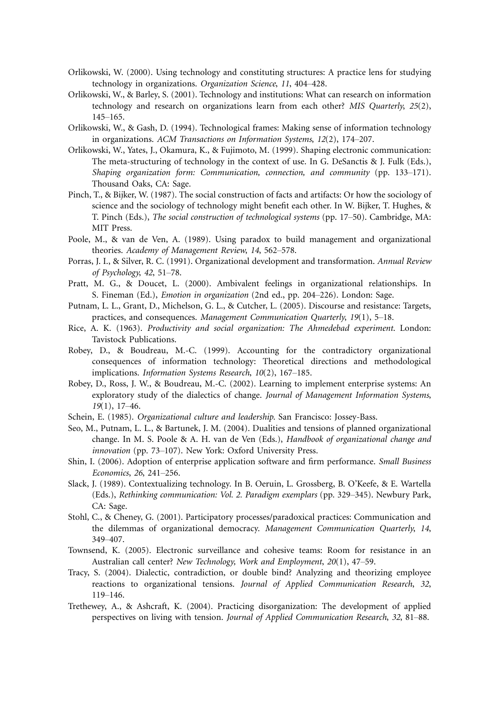- Orlikowski, W. (2000). Using technology and constituting structures: A practice lens for studying technology in organizations. Organization Science, 11, 404-428.
- Orlikowski, W., & Barley, S. (2001). Technology and institutions: What can research on information technology and research on organizations learn from each other? MIS Quarterly, 25(2),  $145 - 165.$
- Orlikowski, W., & Gash, D. (1994). Technological frames: Making sense of information technology in organizations. ACM Transactions on Information Systems,  $12(2)$ ,  $174-207$ .
- Orlikowski, W., Yates, J., Okamura, K., & Fujimoto, M. (1999). Shaping electronic communication: The meta-structuring of technology in the context of use. In G. DeSanctis & J. Fulk (Eds.), Shaping organization form: Communication, connection, and community (pp. 133-171). Thousand Oaks, CA: Sage.
- Pinch, T., & Bijker, W. (1987). The social construction of facts and artifacts: Or how the sociology of science and the sociology of technology might benefit each other. In W. Bijker, T. Hughes, & T. Pinch (Eds.), The social construction of technological systems (pp. 17-50). Cambridge, MA: MIT Press.
- Poole, M., & van de Ven, A. (1989). Using paradox to build management and organizational theories. Academy of Management Review, 14, 562-578.
- Porras, J. I., & Silver, R. C. (1991). Organizational development and transformation. Annual Review of Psychology, 42, 51-78.
- Pratt, M. G., & Doucet, L. (2000). Ambivalent feelings in organizational relationships. In S. Fineman (Ed.), *Emotion in organization* (2nd ed., pp. 204-226). London: Sage.
- Putnam, L. L., Grant, D., Michelson, G. L., & Cutcher, L. (2005). Discourse and resistance: Targets, practices, and consequences. Management Communication Quarterly,  $19(1)$ ,  $5-18$ .
- Rice, A. K. (1963). Productivity and social organization: The Ahmedebad experiment. London: Tavistock Publications.
- Robey, D., & Boudreau, M.-C. (1999). Accounting for the contradictory organizational consequences of information technology: Theoretical directions and methodological implications. Information Systems Research,  $10(2)$ ,  $167-185$ .
- Robey, D., Ross, J. W., & Boudreau, M.-C. (2002). Learning to implement enterprise systems: An exploratory study of the dialectics of change. Journal of Management Information Systems,  $19(1)$ ,  $17-46$ .
- Schein, E. (1985). Organizational culture and leadership. San Francisco: Jossey-Bass.
- Seo, M., Putnam, L. L., & Bartunek, J. M. (2004). Dualities and tensions of planned organizational change. In M. S. Poole & A. H. van de Ven (Eds.), Handbook of organizational change and innovation (pp. 73-107). New York: Oxford University Press.
- Shin, I. (2006). Adoption of enterprise application software and firm performance. Small Business Economics, 26, 241-256.
- Slack, J. (1989). Contextualizing technology. In B. Oeruin, L. Grossberg, B. O'Keefe, & E. Wartella (Eds.), Rethinking communication: Vol. 2. Paradigm exemplars (pp. 329-345). Newbury Park, CA: Sage.
- Stohl, C., & Cheney, G. (2001). Participatory processes/paradoxical practices: Communication and the dilemmas of organizational democracy. Management Communication Quarterly, 14, 349-407.
- Townsend, K. (2005). Electronic surveillance and cohesive teams: Room for resistance in an Australian call center? New Technology, Work and Employment, 20(1), 47-59.
- Tracy, S. (2004). Dialectic, contradiction, or double bind? Analyzing and theorizing employee reactions to organizational tensions. Journal of Applied Communication Research, 32, 119-146.
- Trethewey, A., & Ashcraft, K. (2004). Practicing disorganization: The development of applied perspectives on living with tension. Journal of Applied Communication Research, 32, 81-88.